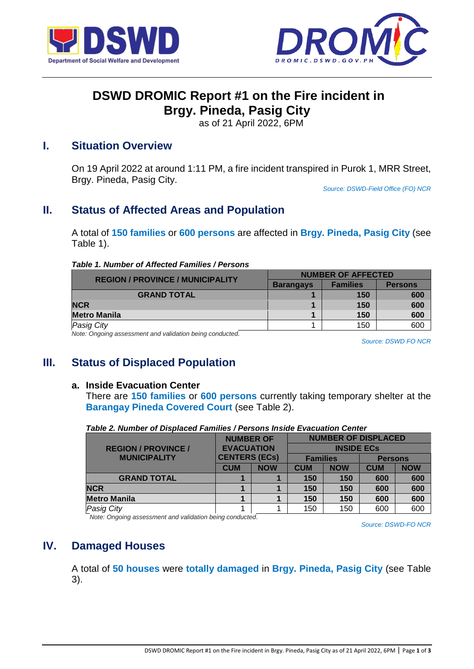



# **DSWD DROMIC Report #1 on the Fire incident in Brgy. Pineda, Pasig City**

as of 21 April 2022, 6PM

## **I. Situation Overview**

On 19 April 2022 at around 1:11 PM, a fire incident transpired in Purok 1, MRR Street, Brgy. Pineda, Pasig City.

*Source: DSWD-Field Office (FO) NCR*

# **II. Status of Affected Areas and Population**

A total of **150 families** or **600 persons** are affected in **Brgy. Pineda, Pasig City** (see Table 1).

### *Table 1. Number of Affected Families / Persons*

| <b>REGION / PROVINCE / MUNICIPALITY</b>                                                                                                                                                                                        | <b>NUMBER OF AFFECTED</b> |                 |                |  |
|--------------------------------------------------------------------------------------------------------------------------------------------------------------------------------------------------------------------------------|---------------------------|-----------------|----------------|--|
|                                                                                                                                                                                                                                | <b>Barangays</b>          | <b>Families</b> | <b>Persons</b> |  |
| <b>GRAND TOTAL</b>                                                                                                                                                                                                             |                           | 150             | 600            |  |
| <b>NCR</b>                                                                                                                                                                                                                     |                           | 150             | 600            |  |
| <b>Metro Manila</b>                                                                                                                                                                                                            |                           | 150             | 600            |  |
| <b>Pasig City</b>                                                                                                                                                                                                              |                           | 150             | 600            |  |
| Alexandro and the company of the control of the three than the control of the control of the control of the control of the control of the control of the control of the control of the control of the control of the control o |                           |                 |                |  |

*Note: Ongoing assessment and validation being conducted.* 

*Source: DSWD FO NCR*

# **III. Status of Displaced Population**

### **a. Inside Evacuation Center**

There are **150 families** or **600 persons** currently taking temporary shelter at the **Barangay Pineda Covered Court** (see Table 2).

|                            | <b>NUMBER OF</b>     |            | <b>NUMBER OF DISPLACED</b> |                   |                |            |
|----------------------------|----------------------|------------|----------------------------|-------------------|----------------|------------|
| <b>REGION / PROVINCE /</b> | <b>EVACUATION</b>    |            |                            | <b>INSIDE ECS</b> |                |            |
| <b>MUNICIPALITY</b>        | <b>CENTERS (ECs)</b> |            | <b>Families</b>            |                   | <b>Persons</b> |            |
|                            | <b>CUM</b>           | <b>NOW</b> | <b>CUM</b>                 | <b>NOW</b>        | <b>CUM</b>     | <b>NOW</b> |
| <b>GRAND TOTAL</b>         |                      |            | 150                        | 150               | 600            | 600        |
| <b>NCR</b>                 |                      |            | 150                        | 150               | 600            | 600        |
| <b>Metro Manila</b>        |                      |            | 150                        | 150               | 600            | 600        |
| <b>Pasig City</b>          |                      |            | 150                        | 150               | 600            | 600        |

*Table 2. Number of Displaced Families / Persons Inside Evacuation Center*

*Note: Ongoing assessment and validation being conducted.*

*Source: DSWD-FO NCR*

# **IV. Damaged Houses**

A total of **50 houses** were **totally damaged** in **Brgy. Pineda, Pasig City** (see Table 3).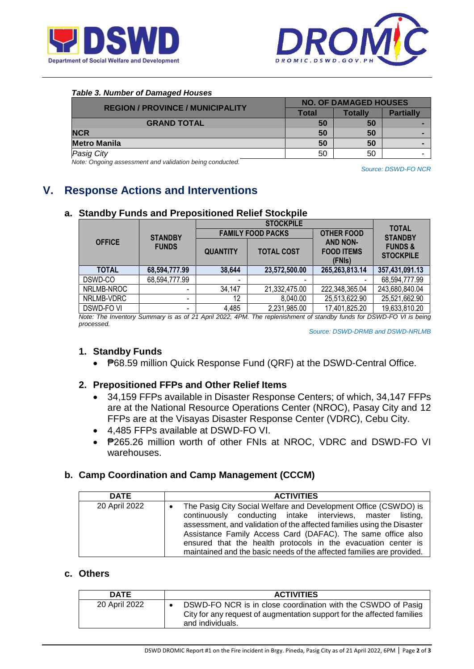



#### *Table 3. Number of Damaged Houses*

| <b>REGION / PROVINCE / MUNICIPALITY</b> | <b>NO. OF DAMAGED HOUSES</b> |                |                  |  |
|-----------------------------------------|------------------------------|----------------|------------------|--|
|                                         | Total                        | <b>Totally</b> | <b>Partially</b> |  |
| <b>GRAND TOTAL</b>                      | 50                           | 50             |                  |  |
| <b>NCR</b>                              | 50                           | 50             |                  |  |
| <b>Metro Manila</b>                     | 50                           | 50             |                  |  |
| <b>Pasig City</b>                       | 50                           | 50             |                  |  |

*Note: Ongoing assessment and validation being conducted.*

*Source: DSWD-FO NCR*

# **V. Response Actions and Interventions**

#### **a. Standby Funds and Prepositioned Relief Stockpile OFFICE STANDBY FUNDS STOCKPILE** TOTAL<br>
PACKS | OTHER FOOD | CHARGE **STANDBY FUNDS & STOCKPILE FAMILY FOOD PACKS AND NON-FOOD ITEMS (FNIs) QUANTITY TOTAL COST TOTAL 68,594,777.99 38,644 23,572,500.00 265,263,813.14 357,431,091.13**  DSWD-CO 68,594,777.99 - - - - 68,594,777.99 NRLMB-NROC | 34,147 | 21,332,475.00 | 222,348,365.04 | 243,680,840.04 NRLMB-VDRC | 12 | 8,040.00 | 25,513,622.90 | 25,521,662.90 DSWD-FO VI - 4,485 2,231,985.00 17,401,825.20 19,633,810.20

*Note: The Inventory Summary is as of 21 April 2022, 4PM. The replenishment of standby funds for DSWD-FO VI is being processed.*

 *Source: DSWD-DRMB and DSWD-NRLMB*

### **1. Standby Funds**

₱68.59 million Quick Response Fund (QRF) at the DSWD-Central Office.

### **2. Prepositioned FFPs and Other Relief Items**

- 34,159 FFPs available in Disaster Response Centers; of which, 34,147 FFPs are at the National Resource Operations Center (NROC), Pasay City and 12 FFPs are at the Visayas Disaster Response Center (VDRC), Cebu City.
- 4,485 FFPs available at DSWD-FO VI.
- P265.26 million worth of other FNIs at NROC, VDRC and DSWD-FO VI warehouses.

### **b. Camp Coordination and Camp Management (CCCM)**

| <b>DATE</b>   | <b>ACTIVITIES</b>                                                                                                                                                                                                                                                                                                                                                                                                             |
|---------------|-------------------------------------------------------------------------------------------------------------------------------------------------------------------------------------------------------------------------------------------------------------------------------------------------------------------------------------------------------------------------------------------------------------------------------|
| 20 April 2022 | The Pasig City Social Welfare and Development Office (CSWDO) is<br>$\bullet$<br>continuously conducting intake interviews, master listing,<br>assessment, and validation of the affected families using the Disaster<br>Assistance Family Access Card (DAFAC). The same office also<br>ensured that the health protocols in the evacuation center is<br>maintained and the basic needs of the affected families are provided. |

### **c. Others**

| <b>DATE</b>   | <b>ACTIVITIES</b>                                                                                                                                          |
|---------------|------------------------------------------------------------------------------------------------------------------------------------------------------------|
| 20 April 2022 | DSWD-FO NCR is in close coordination with the CSWDO of Pasig<br>City for any request of augmentation support for the affected families<br>and individuals. |